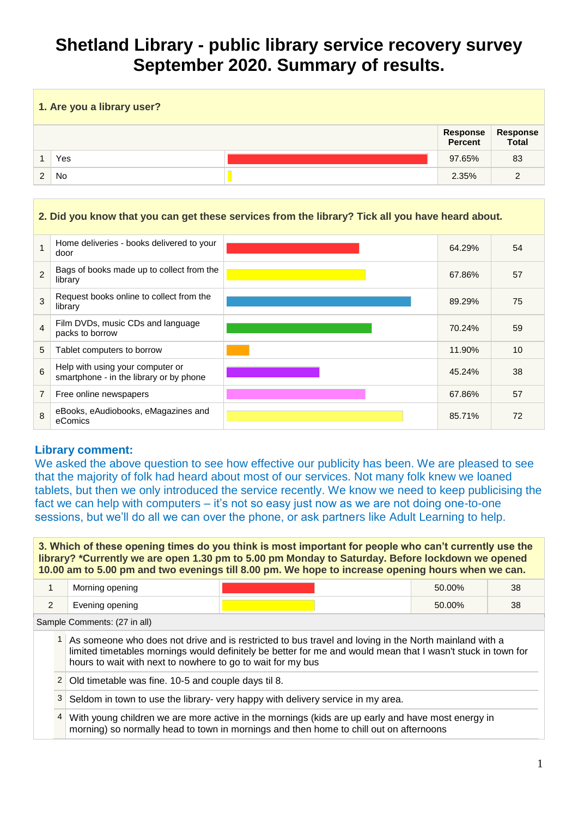# **Shetland Library - public library service recovery survey September 2020. Summary of results.**

| 1. Are you a library user? |     |  |                     |                   |
|----------------------------|-----|--|---------------------|-------------------|
|                            |     |  | Response<br>Percent | Response<br>Total |
|                            | Yes |  | 97.65%              | 83                |
| $\mathcal{P}$              | No. |  | 2.35%               | 2                 |

#### **2. Did you know that you can get these services from the library? Tick all you have heard about.**

|                | Home deliveries - books delivered to your<br>door                           | 64.29% | 54 |
|----------------|-----------------------------------------------------------------------------|--------|----|
| $\overline{2}$ | Bags of books made up to collect from the<br>library                        | 67.86% | 57 |
| 3              | Request books online to collect from the<br>library                         | 89.29% | 75 |
| $\overline{4}$ | Film DVDs, music CDs and language<br>packs to borrow                        | 70.24% | 59 |
| 5              | Tablet computers to borrow                                                  | 11.90% | 10 |
| 6              | Help with using your computer or<br>smartphone - in the library or by phone | 45.24% | 38 |
|                | Free online newspapers                                                      | 67.86% | 57 |
| 8              | eBooks, eAudiobooks, eMagazines and<br>eComics                              | 85.71% | 72 |

## **Library comment:**

We asked the above question to see how effective our publicity has been. We are pleased to see that the majority of folk had heard about most of our services. Not many folk knew we loaned tablets, but then we only introduced the service recently. We know we need to keep publicising the fact we can help with computers – it's not so easy just now as we are not doing one-to-one sessions, but we'll do all we can over the phone, or ask partners like Adult Learning to help.

**3. Which of these opening times do you think is most important for people who can't currently use the library? \*Currently we are open 1.30 pm to 5.00 pm Monday to Saturday. Before lockdown we opened 10.00 am to 5.00 pm and two evenings till 8.00 pm. We hope to increase opening hours when we can.** 

|                              | Morning opening |  | 50.00% | 38 |  |
|------------------------------|-----------------|--|--------|----|--|
| <u>.</u>                     | Evening opening |  | 50.00% | 38 |  |
| Sample Comments: (27 in all) |                 |  |        |    |  |

1 As someone who does not drive and is restricted to bus travel and loving in the North mainland with a limited timetables mornings would definitely be better for me and would mean that I wasn't stuck in town for hours to wait with next to nowhere to go to wait for my bus

- 2 Old timetable was fine. 10-5 and couple days til 8.
- $3$  Seldom in town to use the library- very happy with delivery service in my area.
- 4 With young children we are more active in the mornings (kids are up early and have most energy in morning) so normally head to town in mornings and then home to chill out on afternoons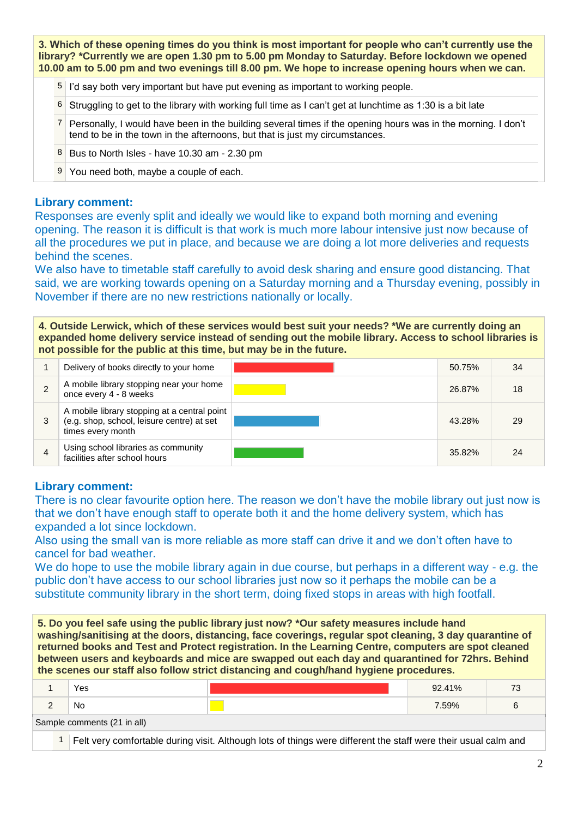**3. Which of these opening times do you think is most important for people who can't currently use the library? \*Currently we are open 1.30 pm to 5.00 pm Monday to Saturday. Before lockdown we opened 10.00 am to 5.00 pm and two evenings till 8.00 pm. We hope to increase opening hours when we can.** 

- 5 I'd say both very important but have put evening as important to working people.
- 6 Struggling to get to the library with working full time as I can't get at lunchtime as 1:30 is a bit late
- 7 Personally, I would have been in the building several times if the opening hours was in the morning. I don't tend to be in the town in the afternoons, but that is just my circumstances.
- 8 Bus to North Isles have 10.30 am 2.30 pm
- 9 You need both, maybe a couple of each.

#### **Library comment:**

Responses are evenly split and ideally we would like to expand both morning and evening opening. The reason it is difficult is that work is much more labour intensive just now because of all the procedures we put in place, and because we are doing a lot more deliveries and requests behind the scenes.

We also have to timetable staff carefully to avoid desk sharing and ensure good distancing. That said, we are working towards opening on a Saturday morning and a Thursday evening, possibly in November if there are no new restrictions nationally or locally.

**4. Outside Lerwick, which of these services would best suit your needs? \*We are currently doing an expanded home delivery service instead of sending out the mobile library. Access to school libraries is not possible for the public at this time, but may be in the future.** 

|   | Delivery of books directly to your home                                                                         | 50.75% | -34 |
|---|-----------------------------------------------------------------------------------------------------------------|--------|-----|
|   | A mobile library stopping near your home<br>once every 4 - 8 weeks                                              | 26.87% | 18  |
|   | A mobile library stopping at a central point<br>(e.g. shop, school, leisure centre) at set<br>times every month | 43.28% | 29  |
| 4 | Using school libraries as community<br>facilities after school hours                                            | 35.82% | 24  |

### **Library comment:**

There is no clear favourite option here. The reason we don't have the mobile library out just now is that we don't have enough staff to operate both it and the home delivery system, which has expanded a lot since lockdown.

Also using the small van is more reliable as more staff can drive it and we don't often have to cancel for bad weather.

We do hope to use the mobile library again in due course, but perhaps in a different way - e.g. the public don't have access to our school libraries just now so it perhaps the mobile can be a substitute community library in the short term, doing fixed stops in areas with high footfall.

**5. Do you feel safe using the public library just now? \*Our safety measures include hand washing/sanitising at the doors, distancing, face coverings, regular spot cleaning, 3 day quarantine of returned books and Test and Protect registration. In the Learning Centre, computers are spot cleaned between users and keyboards and mice are swapped out each day and quarantined for 72hrs. Behind the scenes our staff also follow strict distancing and cough/hand hygiene procedures.** 

|                             | Yes                                                                                                            |  | $92.41\%$ |  |  |
|-----------------------------|----------------------------------------------------------------------------------------------------------------|--|-----------|--|--|
|                             | No.                                                                                                            |  | 7.59%     |  |  |
| Sample comments (21 in all) |                                                                                                                |  |           |  |  |
|                             | Felt very comfortable during visit. Although lots of things were different the staff were their usual calm and |  |           |  |  |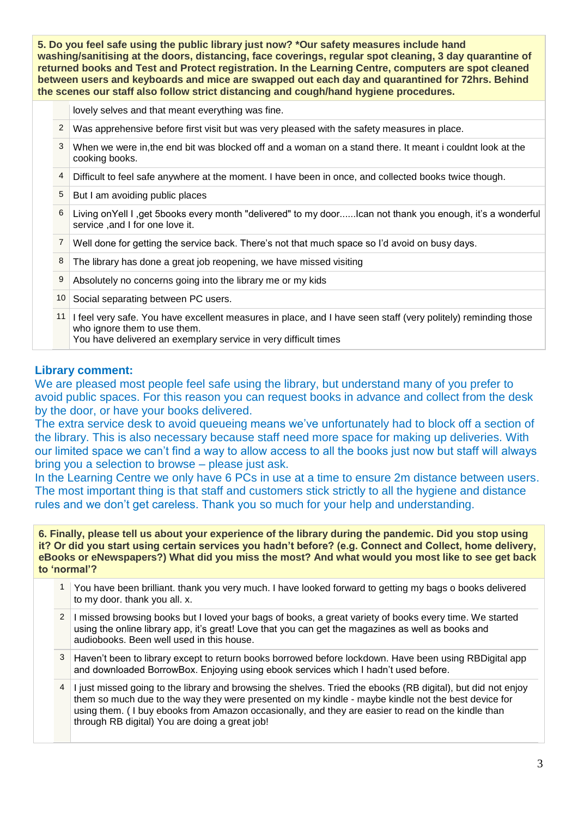**5. Do you feel safe using the public library just now? \*Our safety measures include hand washing/sanitising at the doors, distancing, face coverings, regular spot cleaning, 3 day quarantine of returned books and Test and Protect registration. In the Learning Centre, computers are spot cleaned between users and keyboards and mice are swapped out each day and quarantined for 72hrs. Behind the scenes our staff also follow strict distancing and cough/hand hygiene procedures.** 

lovely selves and that meant everything was fine.

- $2 \times 2$  Was apprehensive before first visit but was very pleased with the safety measures in place.
- 3 When we were in,the end bit was blocked off and a woman on a stand there. It meant i couldnt look at the cooking books.
- 4 Difficult to feel safe anywhere at the moment. I have been in once, and collected books twice though.
- 5 But I am avoiding public places
- 6 Living onYell I ,get 5books every month "delivered" to my door......Ican not thank you enough, it's a wonderful service ,and I for one love it.
- 7 Well done for getting the service back. There's not that much space so I'd avoid on busy days.
- 8 The library has done a great job reopening, we have missed visiting
- 9 Absolutely no concerns going into the library me or my kids
- 10 Social separating between PC users.
- 11 I feel very safe. You have excellent measures in place, and I have seen staff (very politely) reminding those who ignore them to use them.
	- You have delivered an exemplary service in very difficult times

## **Library comment:**

We are pleased most people feel safe using the library, but understand many of you prefer to avoid public spaces. For this reason you can request books in advance and collect from the desk by the door, or have your books delivered.

The extra service desk to avoid queueing means we've unfortunately had to block off a section of the library. This is also necessary because staff need more space for making up deliveries. With our limited space we can't find a way to allow access to all the books just now but staff will always bring you a selection to browse – please just ask.

In the Learning Centre we only have 6 PCs in use at a time to ensure 2m distance between users. The most important thing is that staff and customers stick strictly to all the hygiene and distance rules and we don't get careless. Thank you so much for your help and understanding.

- 1 You have been brilliant. thank you very much. I have looked forward to getting my bags o books delivered to my door. thank you all. x.
- 2 I missed browsing books but I loved your bags of books, a great variety of books every time. We started using the online library app, it's great! Love that you can get the magazines as well as books and audiobooks. Been well used in this house.
- 3 Haven't been to library except to return books borrowed before lockdown. Have been using RBDigital app and downloaded BorrowBox. Enjoying using ebook services which I hadn't used before.
- 4 I just missed going to the library and browsing the shelves. Tried the ebooks (RB digital), but did not enjoy them so much due to the way they were presented on my kindle - maybe kindle not the best device for using them. ( I buy ebooks from Amazon occasionally, and they are easier to read on the kindle than through RB digital) You are doing a great job!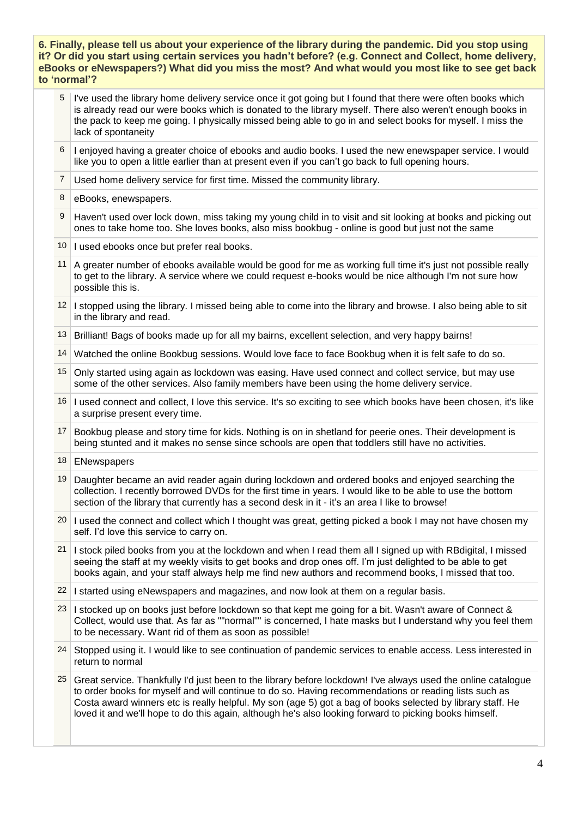- 5 I've used the library home delivery service once it got going but I found that there were often books which is already read our were books which is donated to the library myself. There also weren't enough books in the pack to keep me going. I physically missed being able to go in and select books for myself. I miss the lack of spontaneity
- 6 I enjoyed having a greater choice of ebooks and audio books. I used the new enewspaper service. I would like you to open a little earlier than at present even if you can't go back to full opening hours.
- 7 Used home delivery service for first time. Missed the community library.
- 8 eBooks, enewspapers.
- 9 Haven't used over lock down, miss taking my young child in to visit and sit looking at books and picking out ones to take home too. She loves books, also miss bookbug - online is good but just not the same
- 10 I used ebooks once but prefer real books.
- 11 A greater number of ebooks available would be good for me as working full time it's just not possible really to get to the library. A service where we could request e-books would be nice although I'm not sure how possible this is.
- 12 I stopped using the library. I missed being able to come into the library and browse. I also being able to sit in the library and read.
- 13 Brilliant! Bags of books made up for all my bairns, excellent selection, and very happy bairns!
- 14 Watched the online Bookbug sessions. Would love face to face Bookbug when it is felt safe to do so.
- 15 Only started using again as lockdown was easing. Have used connect and collect service, but may use some of the other services. Also family members have been using the home delivery service.
- 16 I used connect and collect, I love this service. It's so exciting to see which books have been chosen, it's like a surprise present every time.
- 17 Bookbug please and story time for kids. Nothing is on in shetland for peerie ones. Their development is being stunted and it makes no sense since schools are open that toddlers still have no activities.
- 18 **ENewspapers**
- 19 Daughter became an avid reader again during lockdown and ordered books and enjoyed searching the collection. I recently borrowed DVDs for the first time in years. I would like to be able to use the bottom section of the library that currently has a second desk in it - it's an area I like to browse!
- $20$  I used the connect and collect which I thought was great, getting picked a book I may not have chosen my self. I'd love this service to carry on.
- 21 I stock piled books from you at the lockdown and when I read them all I signed up with RBdigital, I missed seeing the staff at my weekly visits to get books and drop ones off. I'm just delighted to be able to get books again, and your staff always help me find new authors and recommend books, I missed that too.
- $22$  I started using eNewspapers and magazines, and now look at them on a regular basis.
- 23 I stocked up on books just before lockdown so that kept me going for a bit. Wasn't aware of Connect & Collect, would use that. As far as ""normal"" is concerned, I hate masks but I understand why you feel them to be necessary. Want rid of them as soon as possible!
- 24 Stopped using it. I would like to see continuation of pandemic services to enable access. Less interested in return to normal
- $25$  Great service. Thankfully I'd just been to the library before lockdown! I've always used the online catalogue to order books for myself and will continue to do so. Having recommendations or reading lists such as Costa award winners etc is really helpful. My son (age 5) got a bag of books selected by library staff. He loved it and we'll hope to do this again, although he's also looking forward to picking books himself.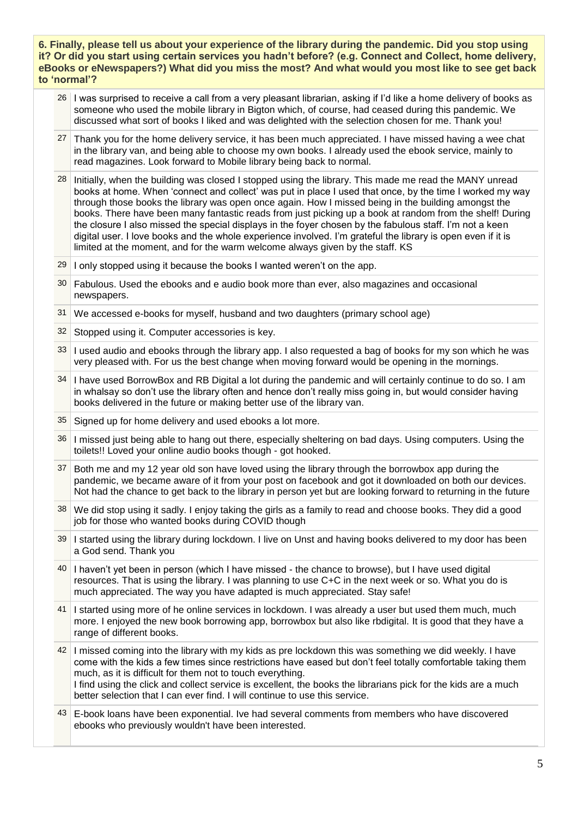- 26 I was surprised to receive a call from a very pleasant librarian, asking if I'd like a home delivery of books as someone who used the mobile library in Bigton which, of course, had ceased during this pandemic. We discussed what sort of books I liked and was delighted with the selection chosen for me. Thank you!
- 27 Thank you for the home delivery service, it has been much appreciated. I have missed having a wee chat in the library van, and being able to choose my own books. I already used the ebook service, mainly to read magazines. Look forward to Mobile library being back to normal.
- 28 Initially, when the building was closed I stopped using the library. This made me read the MANY unread books at home. When 'connect and collect' was put in place I used that once, by the time I worked my way through those books the library was open once again. How I missed being in the building amongst the books. There have been many fantastic reads from just picking up a book at random from the shelf! During the closure I also missed the special displays in the foyer chosen by the fabulous staff. I'm not a keen digital user. I love books and the whole experience involved. I'm grateful the library is open even if it is limited at the moment, and for the warm welcome always given by the staff. KS
- $29$  I only stopped using it because the books I wanted weren't on the app.
- 30 Fabulous. Used the ebooks and e audio book more than ever, also magazines and occasional newspapers.
- 31 We accessed e-books for myself, husband and two daughters (primary school age)
- 32 Stopped using it. Computer accessories is key.
- 33 I used audio and ebooks through the library app. I also requested a bag of books for my son which he was very pleased with. For us the best change when moving forward would be opening in the mornings.
- 34 I have used BorrowBox and RB Digital a lot during the pandemic and will certainly continue to do so. I am in whalsay so don't use the library often and hence don't really miss going in, but would consider having books delivered in the future or making better use of the library van.
- 35 Signed up for home delivery and used ebooks a lot more.
- 36 I missed just being able to hang out there, especially sheltering on bad days. Using computers. Using the toilets!! Loved your online audio books though - got hooked.
- 37 Both me and my 12 year old son have loved using the library through the borrowbox app during the pandemic, we became aware of it from your post on facebook and got it downloaded on both our devices. Not had the chance to get back to the library in person yet but are looking forward to returning in the future
- 38 We did stop using it sadly. I enjoy taking the girls as a family to read and choose books. They did a good job for those who wanted books during COVID though
- 39 I started using the library during lockdown. I live on Unst and having books delivered to my door has been a God send. Thank you
- 40 I haven't yet been in person (which I have missed the chance to browse), but I have used digital resources. That is using the library. I was planning to use C+C in the next week or so. What you do is much appreciated. The way you have adapted is much appreciated. Stay safe!
- 41 I started using more of he online services in lockdown. I was already a user but used them much, much more. I enjoyed the new book borrowing app, borrowbox but also like rbdigital. It is good that they have a range of different books.
- 42 I missed coming into the library with my kids as pre lockdown this was something we did weekly. I have come with the kids a few times since restrictions have eased but don't feel totally comfortable taking them much, as it is difficult for them not to touch everything. I find using the click and collect service is excellent, the books the librarians pick for the kids are a much better selection that I can ever find. I will continue to use this service.
- 43 E-book loans have been exponential. Ive had several comments from members who have discovered ebooks who previously wouldn't have been interested.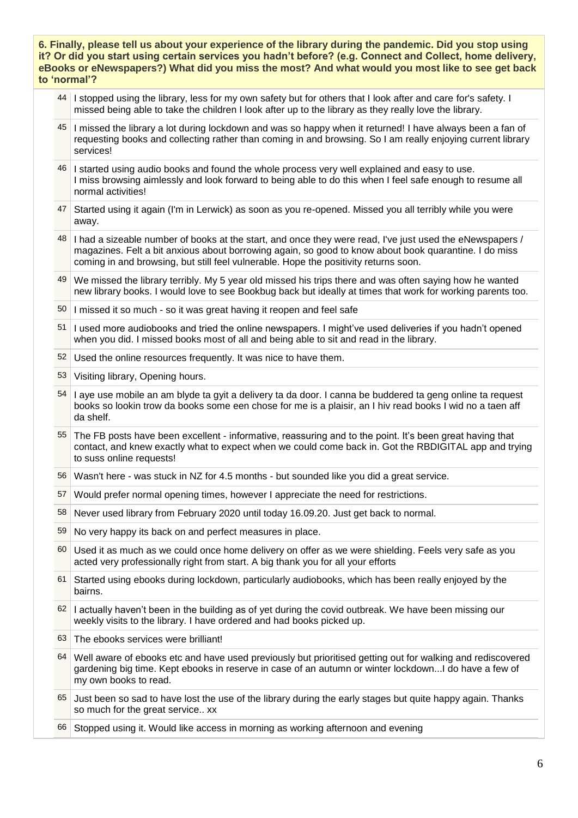- 44 I stopped using the library, less for my own safety but for others that I look after and care for's safety. I missed being able to take the children I look after up to the library as they really love the library.
- 45 I missed the library a lot during lockdown and was so happy when it returned! I have always been a fan of requesting books and collecting rather than coming in and browsing. So I am really enjoying current library services!
- 46 I started using audio books and found the whole process very well explained and easy to use. I miss browsing aimlessly and look forward to being able to do this when I feel safe enough to resume all normal activities!
- 47 Started using it again (I'm in Lerwick) as soon as you re-opened. Missed you all terribly while you were away.
- $\frac{48}{1}$  I had a sizeable number of books at the start, and once they were read, I've just used the eNewspapers / magazines. Felt a bit anxious about borrowing again, so good to know about book quarantine. I do miss coming in and browsing, but still feel vulnerable. Hope the positivity returns soon.
- 49 We missed the library terribly. My 5 year old missed his trips there and was often saying how he wanted new library books. I would love to see Bookbug back but ideally at times that work for working parents too.
- 50 I missed it so much so it was great having it reopen and feel safe
- 51 I used more audiobooks and tried the online newspapers. I might've used deliveries if you hadn't opened when you did. I missed books most of all and being able to sit and read in the library.
- 52 Used the online resources frequently. It was nice to have them.
- 53 Visiting library, Opening hours.
- 54 I aye use mobile an am blyde ta gyit a delivery ta da door. I canna be buddered ta geng online ta request books so lookin trow da books some een chose for me is a plaisir, an I hiv read books I wid no a taen aff da shelf.
- 55 The FB posts have been excellent informative, reassuring and to the point. It's been great having that contact, and knew exactly what to expect when we could come back in. Got the RBDIGITAL app and trying to suss online requests!
- 56 Wasn't here was stuck in NZ for 4.5 months but sounded like you did a great service.
- 57 Would prefer normal opening times, however I appreciate the need for restrictions.
- 58 Never used library from February 2020 until today 16.09.20. Just get back to normal.
- 59 No very happy its back on and perfect measures in place.
- 60 Used it as much as we could once home delivery on offer as we were shielding. Feels very safe as you acted very professionally right from start. A big thank you for all your efforts
- 61 Started using ebooks during lockdown, particularly audiobooks, which has been really enjoyed by the bairns.
- $62$  I actually haven't been in the building as of yet during the covid outbreak. We have been missing our weekly visits to the library. I have ordered and had books picked up.
- 63 The ebooks services were brilliant!
- 64 Well aware of ebooks etc and have used previously but prioritised getting out for walking and rediscovered gardening big time. Kept ebooks in reserve in case of an autumn or winter lockdown...I do have a few of my own books to read.
- 65 Just been so sad to have lost the use of the library during the early stages but quite happy again. Thanks so much for the great service.. xx
- 66 Stopped using it. Would like access in morning as working afternoon and evening